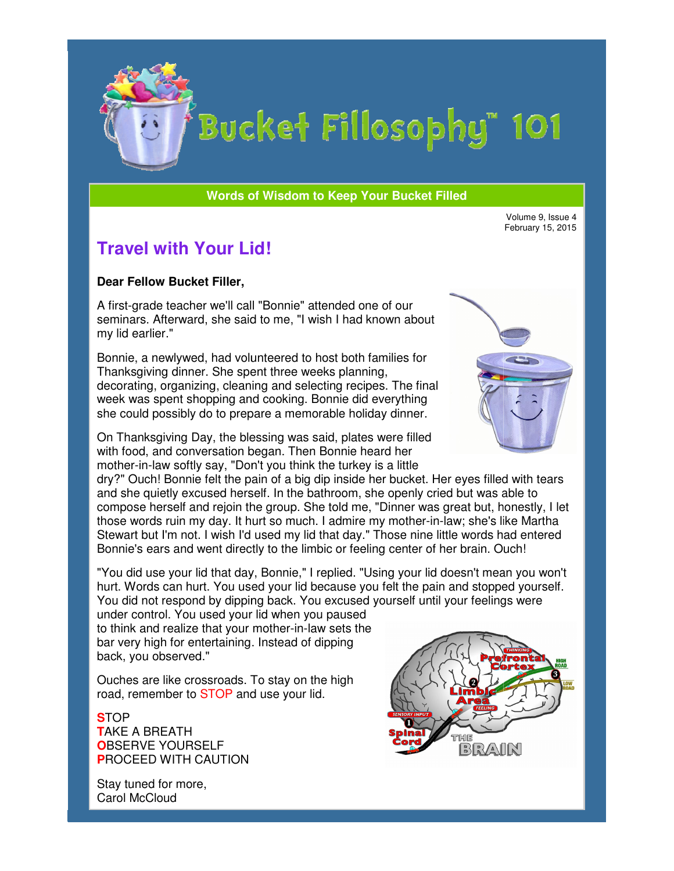

# Bucket Fillosophy" 101

#### **Words of Wisdom to Keep Your Bucket Filled Wisdom**

February 15, 2015

## **Travel with Your Lid!**

#### **Dear Fellow Bucket Filler,**

A first-grade teacher we'll call "Bonnie" attended one of our seminars. Afterward, she said to me, "I wish I had known about my lid earlier." grade teacher we'll call "Bonnie" attended one of our<br>ars. Afterward, she said to me, "I wish I had known al<br>earlier."<br>», a newlywed, had volunteered to host both families<br>sgiving dinner. She spent three weeks planning,

Bonnie, a newlywed, had volunteered to host both families for Thanksgiving dinner. She spent three weeks planning, decorating, organizing, cleaning and selecting recipes. The final week was spent shopping and cooking. Bonnie did everything she could possibly do to prepare a memorable holiday dinner. ating, organizing, cleaning and selecting recipes. The fin:<br>was spent shopping and cooking. Bonnie did everything<br>buld possibly do to prepare a memorable holiday dinner.

On Thanksgiving Day, the blessing was said, plates were filled On Thanksgiving Day, the blessing was said, plates were fil<br>with food, and conversation began. Then Bonnie heard her mother-in-law softly say, "Don't you think the turkey is a little

dry?" Ouch! Bonnie felt the pain of a big dip inside her bucket. Her eyes filled with tears and she quietly excused herself. In the bathroom, she openly cried but was able to compose herself and rejoin the group. She told me, "Dinner was great but, honestly, I let dry?" Ouch! Bonnie felt the pain of a big dip inside her bucket. Her eyes filled with tears<br>and she quietly excused herself. In the bathroom, she openly cried but was able to<br>compose herself and rejoin the group. She told Stewart but I'm not. I wish I'd used my lid that day." Those nine little words had entered Bonnie's ears and went directly to the limbic or feeling center of her brain. Ouch! Volume 9, Issue 4<br>
Instead of the method one of our<br>
Instead of the method one of our<br>
Instead of Schedurg recipes. The final<br>
Indicate weeks planning,<br>
Indicate weeks planning<br>
Indicates were filled<br>
Instantant and second

"You did use your lid that day, Bonnie," I replied. "Using your lid doesn't mean you won't hurt. Words can hurt. You used your lid because you felt the pain and stopped yourself. You did not respond by dipping back. You excused yourself until your feelings were Stewart but I'm not. I wish I'd used my lid that day." Those nine little words had<br>Bonnie's ears and went directly to the limbic or feeling center of her brain. Ouch<br>"You did use your lid that day, Bonnie," I replied. "Usi

under control. You used your lid when you paused to think and realize that your mother-in-law sets the bar very high for entertaining. Instead of dipping back, you observed."

Ouches are like crossroads. To stay on the high road, remember to STOP and use your lid.

**S**TOP **T**AKE A BREATH **O**BSERVE YOURSELF **P**ROCEED WITH CAUTION

Stay tuned for more, Carol McCloud